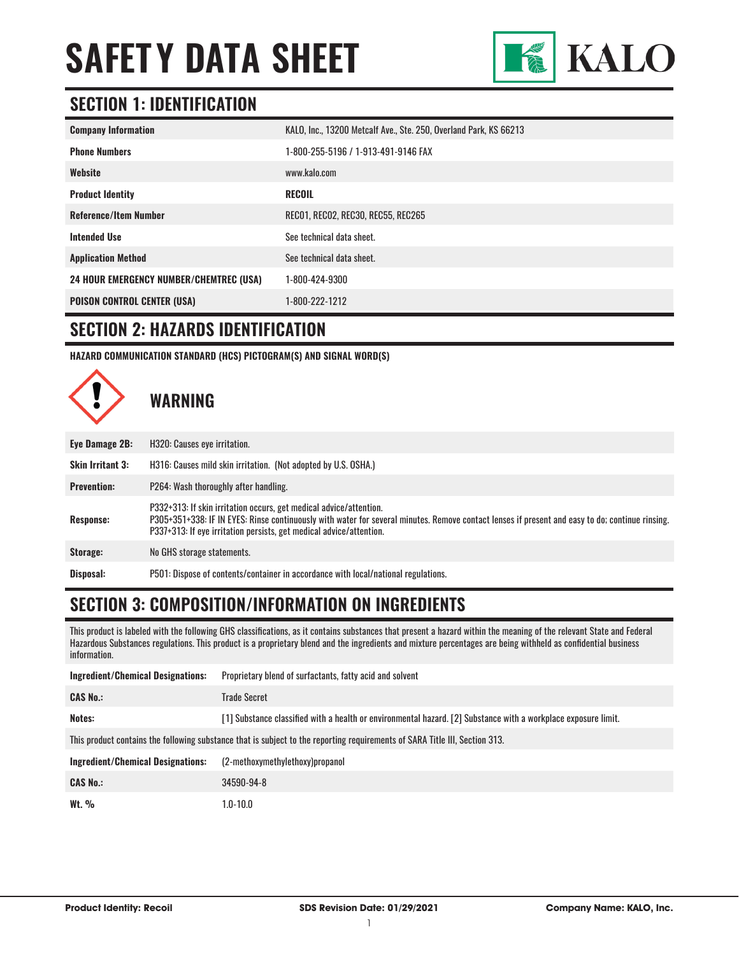

### **SECTION 1: IDENTIFICATION**

| <b>Company Information</b>                     | KALO, Inc., 13200 Metcalf Ave., Ste. 250, Overland Park, KS 66213 |
|------------------------------------------------|-------------------------------------------------------------------|
| <b>Phone Numbers</b>                           | 1-800-255-5196 / 1-913-491-9146 FAX                               |
| Website                                        | www.kalo.com                                                      |
| <b>Product Identity</b>                        | <b>RECOIL</b>                                                     |
| <b>Reference/Item Number</b>                   | RECO1, RECO2, REC30, REC55, REC265                                |
| <b>Intended Use</b>                            | See technical data sheet.                                         |
| <b>Application Method</b>                      | See technical data sheet.                                         |
| <b>24 HOUR EMERGENCY NUMBER/CHEMTREC (USA)</b> | 1-800-424-9300                                                    |
| <b>POISON CONTROL CENTER (USA)</b>             | 1-800-222-1212                                                    |

#### **SECTION 2: HAZARDS IDENTIFICATION**

**HAZARD COMMUNICATION STANDARD (HCS) PICTOGRAM(S) AND SIGNAL WORD(S)**



**WARNING**

| Eye Damage 2B:          | H320: Causes eye irritation.                                                                                                                                                                                                                                                                 |
|-------------------------|----------------------------------------------------------------------------------------------------------------------------------------------------------------------------------------------------------------------------------------------------------------------------------------------|
| <b>Skin Irritant 3:</b> | H316: Causes mild skin irritation. (Not adopted by U.S. OSHA.)                                                                                                                                                                                                                               |
| <b>Prevention:</b>      | P264: Wash thoroughly after handling.                                                                                                                                                                                                                                                        |
| <b>Response:</b>        | P332+313: If skin irritation occurs, get medical advice/attention.<br>P305+351+338: IF IN EYES: Rinse continuously with water for several minutes. Remove contact lenses if present and easy to do; continue rinsing.<br>P337+313: If eye irritation persists, get medical advice/attention. |
| Storage:                | No GHS storage statements.                                                                                                                                                                                                                                                                   |
| Disposal:               | P501: Dispose of contents/container in accordance with local/national regulations.                                                                                                                                                                                                           |

## **SECTION 3: COMPOSITION/INFORMATION ON INGREDIENTS**

This product is labeled with the following GHS classifications, as it contains substances that present a hazard within the meaning of the relevant State and Federal Hazardous Substances regulations. This product is a proprietary blend and the ingredients and mixture percentages are being withheld as confidential business information.

| <b>Ingredient/Chemical Designations:</b>                                                                                    | Proprietary blend of surfactants, fatty acid and solvent                                                       |  |
|-----------------------------------------------------------------------------------------------------------------------------|----------------------------------------------------------------------------------------------------------------|--|
| <b>CAS No.:</b>                                                                                                             | <b>Trade Secret</b>                                                                                            |  |
| Notes:                                                                                                                      | [1] Substance classified with a health or environmental hazard. [2] Substance with a workplace exposure limit. |  |
| This product contains the following substance that is subject to the reporting requirements of SARA Title III, Section 313. |                                                                                                                |  |
| Ingredient/Chemical Designations:                                                                                           | (2-methoxymethylethoxy)propanol                                                                                |  |
| <b>CAS No.:</b>                                                                                                             | 34590-94-8                                                                                                     |  |
| Wt. $\%$                                                                                                                    | $1.0 - 10.0$                                                                                                   |  |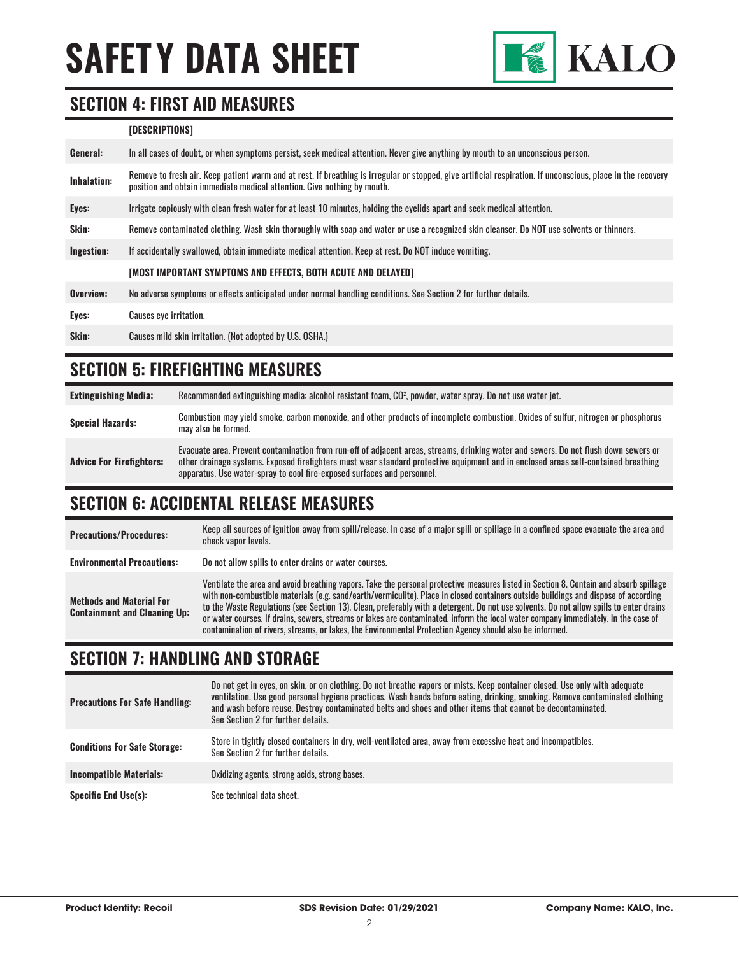

#### **SECTION 4: FIRST AID MEASURES**

#### **[DESCRIPTIONS]**

| General:    | In all cases of doubt, or when symptoms persist, seek medical attention. Never give anything by mouth to an unconscious person.                                                                                                         |
|-------------|-----------------------------------------------------------------------------------------------------------------------------------------------------------------------------------------------------------------------------------------|
| Inhalation: | Remove to fresh air. Keep patient warm and at rest. If breathing is irregular or stopped, give artificial respiration. If unconscious, place in the recovery<br>position and obtain immediate medical attention. Give nothing by mouth. |
| Eyes:       | Irrigate copiously with clean fresh water for at least 10 minutes, holding the eyelids apart and seek medical attention.                                                                                                                |
| Skin:       | Remove contaminated clothing. Wash skin thoroughly with soap and water or use a recognized skin cleanser. Do NOT use solvents or thinners.                                                                                              |
| Ingestion:  | If accidentally swallowed, obtain immediate medical attention. Keep at rest, Do NOT induce vomiting.                                                                                                                                    |
|             | <b>IMOST IMPORTANT SYMPTOMS AND EFFECTS. BOTH ACUTE AND DELAYED1</b>                                                                                                                                                                    |
| Overview:   | No adverse symptoms or effects anticipated under normal handling conditions. See Section 2 for further details.                                                                                                                         |
| Eyes:       | <b>Causes eye irritation.</b>                                                                                                                                                                                                           |
| Skin:       | Causes mild skin irritation. (Not adopted by U.S. OSHA.)                                                                                                                                                                                |

#### **SECTION 5: FIREFIGHTING MEASURES**

| <b>Extinguishing Media:</b>     | Recommended extinguishing media: alcohol resistant foam, CO <sup>2</sup> , powder, water spray. Do not use water jet.                                                                                                                                                                                                                                  |
|---------------------------------|--------------------------------------------------------------------------------------------------------------------------------------------------------------------------------------------------------------------------------------------------------------------------------------------------------------------------------------------------------|
| <b>Special Hazards:</b>         | Combustion may yield smoke, carbon monoxide, and other products of incomplete combustion. Oxides of sulfur, nitrogen or phosphorus<br>may also be formed.                                                                                                                                                                                              |
| <b>Advice For Firefighters:</b> | Evacuate area. Prevent contamination from run-off of adjacent areas, streams, drinking water and sewers. Do not flush down sewers or<br>other drainage systems. Exposed firefighters must wear standard protective equipment and in enclosed areas self-contained breathing<br>apparatus. Use water-spray to cool fire-exposed surfaces and personnel. |

#### **SECTION 6: ACCIDENTAL RELEASE MEASURES**

| <b>Precautions/Procedures:</b>                                         | Keep all sources of ignition away from spill/release. In case of a major spill or spillage in a confined space evacuate the area and<br>check vapor levels.                                                                                                                                                                                                                                                                                                                                                                                                                                                                                                               |
|------------------------------------------------------------------------|---------------------------------------------------------------------------------------------------------------------------------------------------------------------------------------------------------------------------------------------------------------------------------------------------------------------------------------------------------------------------------------------------------------------------------------------------------------------------------------------------------------------------------------------------------------------------------------------------------------------------------------------------------------------------|
| <b>Environmental Precautions:</b>                                      | Do not allow spills to enter drains or water courses.                                                                                                                                                                                                                                                                                                                                                                                                                                                                                                                                                                                                                     |
| <b>Methods and Material For</b><br><b>Containment and Cleaning Up:</b> | Ventilate the area and avoid breathing vapors. Take the personal protective measures listed in Section 8. Contain and absorb spillage<br>with non-combustible materials (e.g. sand/earth/vermiculite). Place in closed containers outside buildings and dispose of according<br>to the Waste Regulations (see Section 13). Clean, preferably with a detergent. Do not use solvents. Do not allow spills to enter drains<br>or water courses. If drains, sewers, streams or lakes are contaminated, inform the local water company immediately. In the case of<br>contamination of rivers, streams, or lakes, the Environmental Protection Agency should also be informed. |

#### **SECTION 7: HANDLING AND STORAGE**

| <b>Precautions For Safe Handling:</b> | Do not get in eyes, on skin, or on clothing. Do not breathe vapors or mists. Keep container closed. Use only with adequate<br>ventilation. Use good personal hygiene practices. Wash hands before eating, drinking, smoking. Remove contaminated clothing<br>and wash before reuse. Destrov contaminated belts and shoes and other items that cannot be decontaminated.<br>See Section 2 for further details. |
|---------------------------------------|---------------------------------------------------------------------------------------------------------------------------------------------------------------------------------------------------------------------------------------------------------------------------------------------------------------------------------------------------------------------------------------------------------------|
| <b>Conditions For Safe Storage:</b>   | Store in tightly closed containers in dry, well-ventilated area, away from excessive heat and incompatibles.<br>See Section 2 for further details.                                                                                                                                                                                                                                                            |
| <b>Incompatible Materials:</b>        | Oxidizing agents, strong acids, strong bases.                                                                                                                                                                                                                                                                                                                                                                 |
| <b>Specific End Use(s):</b>           | See technical data sheet.                                                                                                                                                                                                                                                                                                                                                                                     |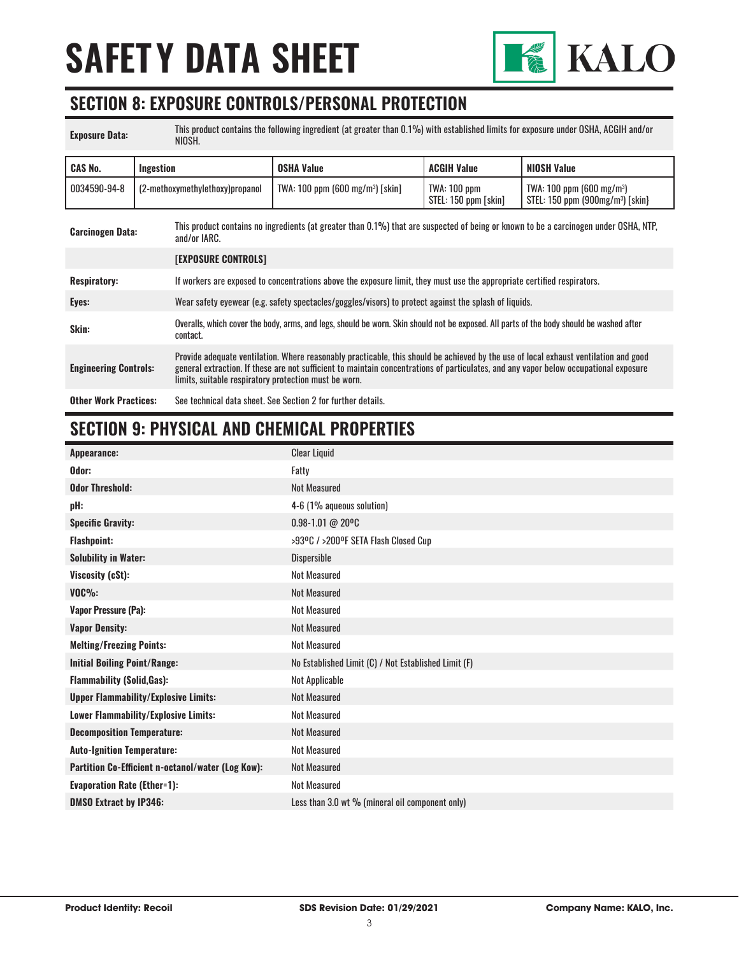

#### **SECTION 8: EXPOSURE CONTROLS/PERSONAL PROTECTION**

| <b>Exposure Data:</b>        | This product contains the following ingredient (at greater than 0.1%) with established limits for exposure under OSHA, ACGIH and/or<br>NIOSH. |                                                                                                                                                                                                                                                                                                                                        |                                      |                                                                              |
|------------------------------|-----------------------------------------------------------------------------------------------------------------------------------------------|----------------------------------------------------------------------------------------------------------------------------------------------------------------------------------------------------------------------------------------------------------------------------------------------------------------------------------------|--------------------------------------|------------------------------------------------------------------------------|
| <b>CAS No.</b>               | Ingestion                                                                                                                                     | <b>OSHA Value</b>                                                                                                                                                                                                                                                                                                                      | <b>ACGIH Value</b>                   | <b>NIOSH Value</b>                                                           |
| 0034590-94-8                 | (2-methoxymethylethoxy)propanol                                                                                                               | TWA: $100$ ppm (600 mg/m <sup>3</sup> ) [skin]                                                                                                                                                                                                                                                                                         | TWA: 100 ppm<br>STEL: 150 ppm [skin] | TWA: $100$ ppm (600 mg/m <sup>3</sup> )<br>STEL: 150 ppm $(900mg/m3)$ [skin] |
| <b>Carcinogen Data:</b>      | and/or IARC.                                                                                                                                  | This product contains no ingredients (at greater than 0.1%) that are suspected of being or known to be a carcinogen under OSHA, NTP,                                                                                                                                                                                                   |                                      |                                                                              |
|                              | <b>[EXPOSURE CONTROLS]</b>                                                                                                                    |                                                                                                                                                                                                                                                                                                                                        |                                      |                                                                              |
| <b>Respiratory:</b>          |                                                                                                                                               | If workers are exposed to concentrations above the exposure limit, they must use the appropriate certified respirators.                                                                                                                                                                                                                |                                      |                                                                              |
| Eyes:                        |                                                                                                                                               | Wear safety eyewear (e.g. safety spectacles/goggles/visors) to protect against the splash of liquids.                                                                                                                                                                                                                                  |                                      |                                                                              |
| Skin:                        | contact.                                                                                                                                      | Overalls, which cover the body, arms, and legs, should be worn. Skin should not be exposed. All parts of the body should be washed after                                                                                                                                                                                               |                                      |                                                                              |
| <b>Engineering Controls:</b> |                                                                                                                                               | Provide adequate ventilation. Where reasonably practicable, this should be achieved by the use of local exhaust ventilation and good<br>general extraction. If these are not sufficient to maintain concentrations of particulates, and any vapor below occupational exposure<br>limits, suitable respiratory protection must be worn. |                                      |                                                                              |
| <b>Other Work Practices:</b> |                                                                                                                                               | See technical data sheet. See Section 2 for further details.                                                                                                                                                                                                                                                                           |                                      |                                                                              |

# **SECTION 9: PHYSICAL AND CHEMICAL PROPERTIES**

| Appearance:                                       | <b>Clear Liquid</b>                                  |
|---------------------------------------------------|------------------------------------------------------|
| Odor:                                             | Fatty                                                |
| <b>Odor Threshold:</b>                            | <b>Not Measured</b>                                  |
| pH:                                               | 4-6 (1% aqueous solution)                            |
| <b>Specific Gravity:</b>                          | 0.98-1.01 @ 20°C                                     |
| <b>Flashpoint:</b>                                | >93ºC / >200ºF SETA Flash Closed Cup                 |
| <b>Solubility in Water:</b>                       | Dispersible                                          |
| Viscosity (cSt):                                  | <b>Not Measured</b>                                  |
| $VOC\%$ :                                         | <b>Not Measured</b>                                  |
| <b>Vapor Pressure (Pa):</b>                       | <b>Not Measured</b>                                  |
| <b>Vapor Density:</b>                             | <b>Not Measured</b>                                  |
| <b>Melting/Freezing Points:</b>                   | <b>Not Measured</b>                                  |
| <b>Initial Boiling Point/Range:</b>               | No Established Limit (C) / Not Established Limit (F) |
| <b>Flammability (Solid, Gas):</b>                 | Not Applicable                                       |
| <b>Upper Flammability/Explosive Limits:</b>       | <b>Not Measured</b>                                  |
| Lower Flammability/Explosive Limits:              | <b>Not Measured</b>                                  |
| <b>Decomposition Temperature:</b>                 | <b>Not Measured</b>                                  |
| <b>Auto-Ignition Temperature:</b>                 | <b>Not Measured</b>                                  |
| Partition Co-Efficient n-octanol/water (Log Kow): | <b>Not Measured</b>                                  |
| <b>Evaporation Rate (Ether=1):</b>                | <b>Not Measured</b>                                  |
| <b>DMSO Extract by IP346:</b>                     | Less than 3.0 wt % (mineral oil component only)      |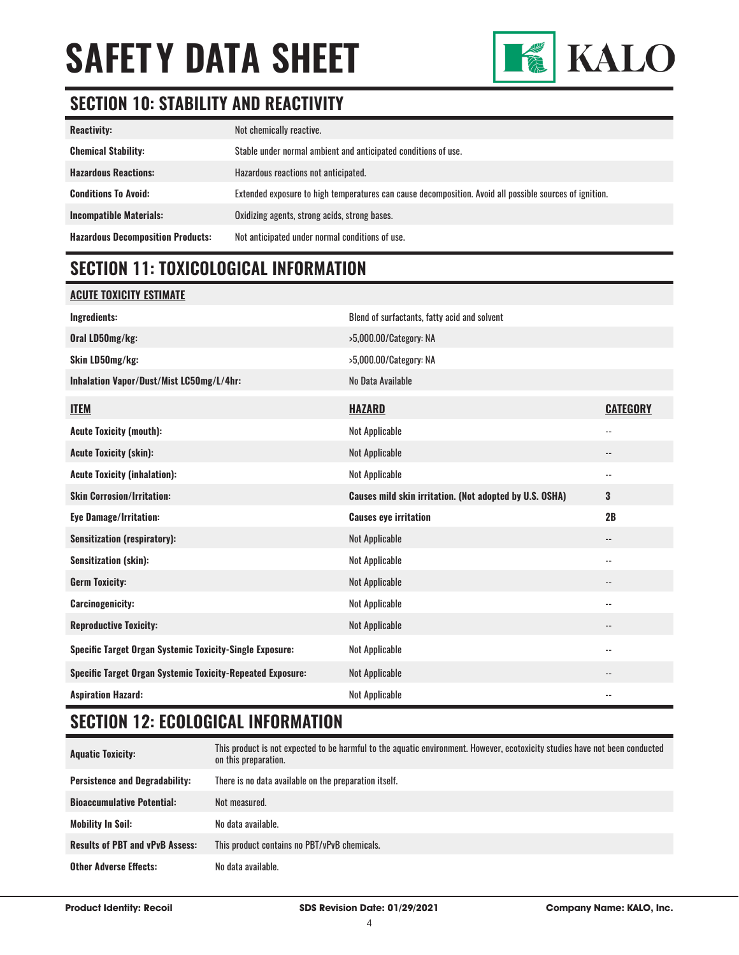

## **SECTION 10: STABILITY AND REACTIVITY**

| <b>Reactivity:</b>                       | Not chemically reactive.                                                                                |
|------------------------------------------|---------------------------------------------------------------------------------------------------------|
| <b>Chemical Stability:</b>               | Stable under normal ambient and anticipated conditions of use.                                          |
| <b>Hazardous Reactions:</b>              | Hazardous reactions not anticipated.                                                                    |
| <b>Conditions To Avoid:</b>              | Extended exposure to high temperatures can cause decomposition. Avoid all possible sources of ignition. |
| <b>Incompatible Materials:</b>           | Oxidizing agents, strong acids, strong bases.                                                           |
| <b>Hazardous Decomposition Products:</b> | Not anticipated under normal conditions of use.                                                         |

### **SECTION 11: TOXICOLOGICAL INFORMATION**

#### **ACUTE TOXICITY ESTIMATE**

| Ingredients:                                                      | Blend of surfactants, fatty acid and solvent            |                            |
|-------------------------------------------------------------------|---------------------------------------------------------|----------------------------|
| Oral LD50mg/kg:                                                   | >5,000.00/Category: NA                                  |                            |
| Skin LD50mg/kg:                                                   | >5,000.00/Category: NA                                  |                            |
| Inhalation Vapor/Dust/Mist LC50mg/L/4hr:                          | No Data Available                                       |                            |
| <b>ITEM</b>                                                       | <b>HAZARD</b>                                           | <b>CATEGORY</b>            |
| <b>Acute Toxicity (mouth):</b>                                    | Not Applicable                                          | $\overline{\phantom{a}}$   |
| <b>Acute Toxicity (skin):</b>                                     | Not Applicable                                          | $-$                        |
| <b>Acute Toxicity (inhalation):</b>                               | Not Applicable                                          | $\frac{1}{2}$              |
| <b>Skin Corrosion/Irritation:</b>                                 | Causes mild skin irritation. (Not adopted by U.S. OSHA) | 3                          |
| <b>Eye Damage/Irritation:</b>                                     | <b>Causes eye irritation</b>                            | 2B                         |
|                                                                   |                                                         |                            |
| <b>Sensitization (respiratory):</b>                               | Not Applicable                                          | $\overline{\phantom{a}}$ . |
| <b>Sensitization (skin):</b>                                      | Not Applicable                                          | $\overline{\phantom{a}}$ . |
| <b>Germ Toxicity:</b>                                             | Not Applicable                                          | --                         |
| <b>Carcinogenicity:</b>                                           | Not Applicable                                          | $\overline{\phantom{a}}$ . |
| <b>Reproductive Toxicity:</b>                                     | Not Applicable                                          |                            |
| <b>Specific Target Organ Systemic Toxicity-Single Exposure:</b>   | Not Applicable                                          | $\overline{\phantom{a}}$ . |
| <b>Specific Target Organ Systemic Toxicity-Repeated Exposure:</b> | Not Applicable                                          | --                         |

### **SECTION 12: ECOLOGICAL INFORMATION**

| <b>Aquatic Toxicity:</b>               | This product is not expected to be harmful to the aquatic environment. However, ecotoxicity studies have not been conducted<br>on this preparation. |
|----------------------------------------|-----------------------------------------------------------------------------------------------------------------------------------------------------|
| <b>Persistence and Degradability:</b>  | There is no data available on the preparation itself.                                                                                               |
| <b>Bioaccumulative Potential:</b>      | Not measured.                                                                                                                                       |
| <b>Mobility In Soil:</b>               | No data available.                                                                                                                                  |
| <b>Results of PBT and vPvB Assess:</b> | This product contains no PBT/vPvB chemicals.                                                                                                        |
| <b>Other Adverse Effects:</b>          | No data available.                                                                                                                                  |